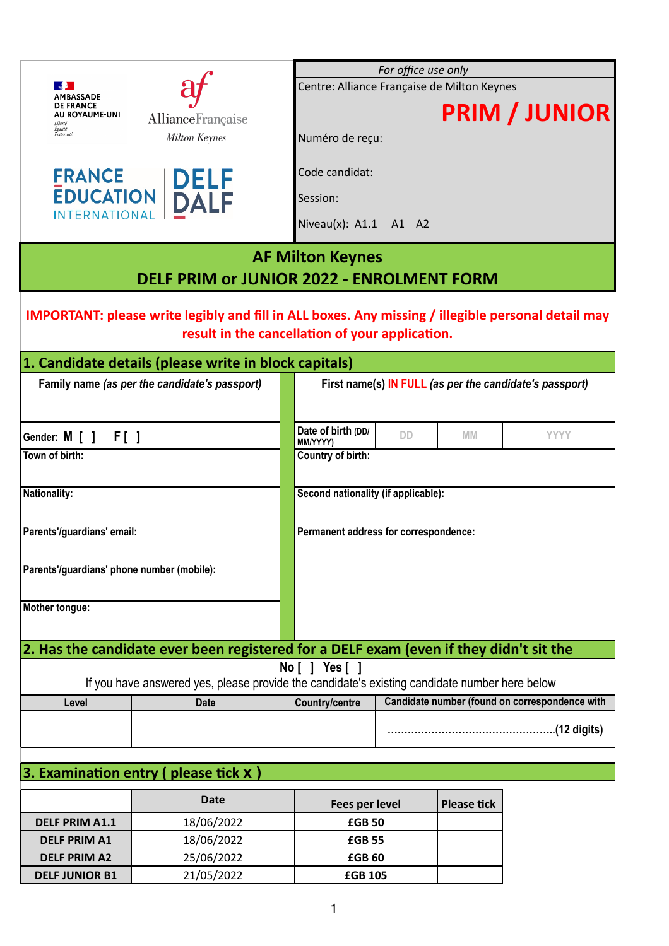|                                            |                                                                                                           |                                             | For office use only |                    |                                                         |
|--------------------------------------------|-----------------------------------------------------------------------------------------------------------|---------------------------------------------|---------------------|--------------------|---------------------------------------------------------|
| $\sim$                                     |                                                                                                           | Centre: Alliance Française de Milton Keynes |                     |                    |                                                         |
| AMBASSADE<br><b>DE FRANCE</b>              |                                                                                                           |                                             |                     |                    |                                                         |
| AU ROYAUME-UNI<br>Liberté                  | AllianceFrançaise                                                                                         |                                             |                     |                    | <b>PRIM / JUNIOR</b>                                    |
| Égalité<br>Fraternite                      | <b>Milton Keynes</b>                                                                                      | Numéro de reçu:                             |                     |                    |                                                         |
|                                            |                                                                                                           |                                             |                     |                    |                                                         |
|                                            |                                                                                                           | Code candidat:                              |                     |                    |                                                         |
| <b>FRANCE</b>                              |                                                                                                           |                                             |                     |                    |                                                         |
|                                            | EDUCATION DELF                                                                                            | Session:                                    |                     |                    |                                                         |
| <b>INTERNATIONAL</b>                       |                                                                                                           | Niveau(x): A1.1 A1 A2                       |                     |                    |                                                         |
|                                            |                                                                                                           |                                             |                     |                    |                                                         |
|                                            |                                                                                                           | <b>AF Milton Keynes</b>                     |                     |                    |                                                         |
|                                            |                                                                                                           |                                             |                     |                    |                                                         |
|                                            | <b>DELF PRIM OF JUNIOR 2022 - ENROLMENT FORM</b>                                                          |                                             |                     |                    |                                                         |
|                                            |                                                                                                           |                                             |                     |                    |                                                         |
|                                            | <b>IMPORTANT: please write legibly and fill in ALL boxes. Any missing / illegible personal detail may</b> |                                             |                     |                    |                                                         |
|                                            | result in the cancellation of your application.                                                           |                                             |                     |                    |                                                         |
|                                            | 1. Candidate details (please write in block capitals)                                                     |                                             |                     |                    |                                                         |
|                                            |                                                                                                           |                                             |                     |                    |                                                         |
|                                            | Family name (as per the candidate's passport)                                                             |                                             |                     |                    | First name(s) IN FULL (as per the candidate's passport) |
|                                            |                                                                                                           |                                             |                     |                    |                                                         |
|                                            |                                                                                                           | Date of birth (DD/                          |                     |                    |                                                         |
| Gender: M [ ] F [ ]                        |                                                                                                           | MM/YYYY)                                    | DD                  | MM.                | <b>YYYY</b>                                             |
| Town of birth:                             |                                                                                                           | Country of birth:                           |                     |                    |                                                         |
|                                            |                                                                                                           |                                             |                     |                    |                                                         |
| Nationality:                               |                                                                                                           | Second nationality (if applicable):         |                     |                    |                                                         |
|                                            |                                                                                                           |                                             |                     |                    |                                                         |
| Parents'/guardians' email:                 |                                                                                                           | Permanent address for correspondence:       |                     |                    |                                                         |
|                                            |                                                                                                           |                                             |                     |                    |                                                         |
|                                            |                                                                                                           |                                             |                     |                    |                                                         |
| Parents'/guardians' phone number (mobile): |                                                                                                           |                                             |                     |                    |                                                         |
|                                            |                                                                                                           |                                             |                     |                    |                                                         |
| Mother tongue:                             |                                                                                                           |                                             |                     |                    |                                                         |
|                                            |                                                                                                           |                                             |                     |                    |                                                         |
|                                            | 2. Has the candidate ever been registered for a DELF exam (even if they didn't sit the                    |                                             |                     |                    |                                                         |
|                                            |                                                                                                           | No [ ] Yes [ ]                              |                     |                    |                                                         |
|                                            | If you have answered yes, please provide the candidate's existing candidate number here below             |                                             |                     |                    |                                                         |
| Level                                      | <b>Date</b>                                                                                               | <b>Country/centre</b>                       |                     |                    | Candidate number (found on correspondence with          |
|                                            |                                                                                                           |                                             |                     |                    |                                                         |
|                                            |                                                                                                           |                                             |                     |                    |                                                         |
|                                            |                                                                                                           |                                             |                     |                    |                                                         |
|                                            | 3. Examination entry (please tick $x$ )                                                                   |                                             |                     |                    |                                                         |
|                                            |                                                                                                           |                                             |                     |                    |                                                         |
|                                            | <b>Date</b>                                                                                               | Fees per level                              |                     | <b>Please tick</b> |                                                         |
| <b>DELF PRIM A1.1</b>                      | 18/06/2022                                                                                                | <b>£GB 50</b>                               |                     |                    |                                                         |
| <b>DELF PRIM A1</b>                        | 18/06/2022                                                                                                | <b>£GB 55</b>                               |                     |                    |                                                         |
| <b>DELF PRIM A2</b>                        | 25/06/2022                                                                                                | <b>£GB 60</b>                               |                     |                    |                                                         |
|                                            |                                                                                                           |                                             |                     |                    |                                                         |

**DELF JUNIOR B1** 21/05/2022 **£GB 105**